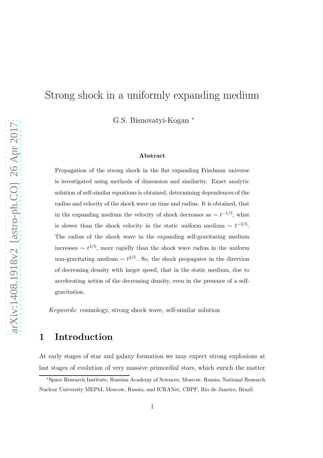# Strong shock in a uniformly expanding medium

G.S. Bisnovatyi-Kogan <sup>∗</sup>

#### Abstract

Propagation of the strong shock in the flat expanding Friedman universe is investigated using methods of dimension and similarity. Exact analytic solution of self-similar equations is obtained, determining dependences of the radius and velocity of the shock wave on time and radius. It is obtained, that in the expanding medium the velocity of shock decreases as  $\sim t^{-1/5}$ , what is slower than the shock velocity in the static uniform medium  $\sim t^{-3/5}$ . The radius of the shock wave in the expanding self-gravitating medium increases  $\sim t^{4/5}$ , more rapidly than the shock wave radius in the uniform non-gravitating medium  $\sim t^{2/5}$ . So, the shock propagates in the direction of decreasing density with larger speed, that in the static medium, due to accelerating action of the decreasing density, even in the presence of a selfgravitation.

*Keywords:* cosmology, strong shock wave, self-similar solution

### 1 Introduction

At early stages of star and galaxy formation we may expect strong explosions at last stages of evolution of very massive primordial stars, which enrich the matter

<sup>∗</sup>Space Research Institute, Russian Academy of Sciences, Moscow, Russia; National Research Nuclear University MEPhI, Moscow, Russia; and ICRANet, CBPF, Rio de Janeiro, Brazil.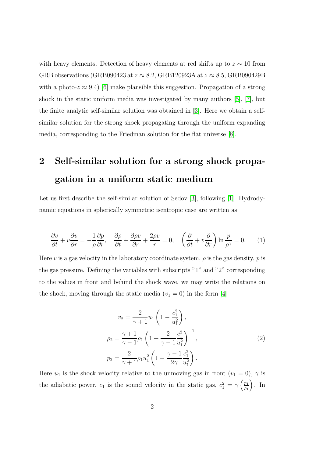with heavy elements. Detection of heavy elements at red shifts up to  $z \sim 10$  from GRB observations (GRB090423 at  $z \approx 8.2$ , GRB120923A at  $z \approx 8.5$ , GRB090429B with a photo- $z \approx 9.4$ ) [\[6\]](#page-15-0) make plausible this suggestion. Propagation of a strong shock in the static uniform media was investigated by many authors [\[5\]](#page-15-1), [\[7\]](#page-15-2), but the finite analytic self-similar solution was obtained in [\[3\]](#page-15-3). Here we obtain a selfsimilar solution for the strong shock propagating through the uniform expanding media, corresponding to the Friedman solution for the flat universe [\[8\]](#page-16-0).

# 2 Self-similar solution for a strong shock propagation in a uniform static medium

Let us first describe the self-similar solution of Sedov [\[3\]](#page-15-3), following [\[1\]](#page-15-4). Hydrodynamic equations in spherically symmetric isentropic case are written as

<span id="page-1-1"></span>
$$
\frac{\partial v}{\partial t} + v \frac{\partial v}{\partial r} = -\frac{1}{\rho} \frac{\partial p}{\partial r}, \quad \frac{\partial \rho}{\partial t} + \frac{\partial \rho v}{\partial r} + \frac{2\rho v}{r} = 0, \quad \left(\frac{\partial}{\partial t} + v \frac{\partial}{\partial r}\right) \ln \frac{p}{\rho^{\gamma}} = 0. \tag{1}
$$

Here v is a gas velocity in the laboratory coordinate system,  $\rho$  is the gas density, p is the gas pressure. Defining the variables with subscripts "1" and "2" corresponding to the values in front and behind the shock wave, we may write the relations on the shock, moving through the static media  $(v_1 = 0)$  in the form [\[4\]](#page-15-5)

<span id="page-1-0"></span>
$$
v_2 = \frac{2}{\gamma + 1} u_1 \left( 1 - \frac{c_1^2}{u_1^2} \right),
$$
  
\n
$$
\rho_2 = \frac{\gamma + 1}{\gamma - 1} \rho_1 \left( 1 + \frac{2}{\gamma - 1} \frac{c_1^2}{u_1^2} \right)^{-1},
$$
  
\n
$$
p_2 = \frac{2}{\gamma + 1} \rho_1 u_1^2 \left( 1 - \frac{\gamma - 1}{2\gamma} \frac{c_1^2}{u_1^2} \right).
$$
\n(2)

Here  $u_1$  is the shock velocity relative to the unmoving gas in front  $(v_1 = 0)$ ,  $\gamma$  is the adiabatic power,  $c_1$  is the sound velocity in the static gas,  $c_1^2 = \gamma \left(\frac{p_1}{\rho_1}\right)$  $\frac{p_1}{p_1}$ ). In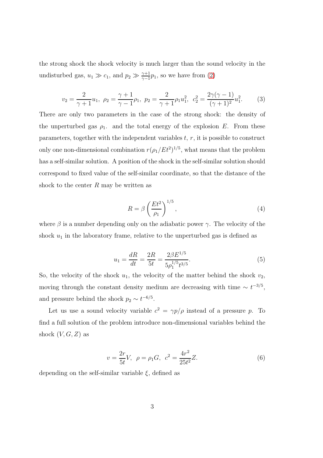the strong shock the shock velocity is much larger than the sound velocity in the undisturbed gas,  $u_1 \gg c_1$ , and  $p_2 \gg \frac{\gamma+1}{\gamma-1}p_1$ , so we have from [\(2\)](#page-1-0)

<span id="page-2-0"></span>
$$
v_2 = \frac{2}{\gamma + 1} u_1, \ \rho_2 = \frac{\gamma + 1}{\gamma - 1} \rho_1, \ \ p_2 = \frac{2}{\gamma + 1} \rho_1 u_1^2, \ \ c_2^2 = \frac{2\gamma(\gamma - 1)}{(\gamma + 1)^2} u_1^2. \tag{3}
$$

There are only two parameters in the case of the strong shock: the density of the unperturbed gas  $\rho_1$ . and the total energy of the explosion E. From these parameters, together with the independent variables  $t, r$ , it is possible to construct only one non-dimensional combination  $r(\rho_1/Et^2)^{1/5}$ , what means that the problem has a self-similar solution. A position of the shock in the self-similar solution should correspond to fixed value of the self-similar coordinate, so that the distance of the shock to the center  $R$  may be written as

$$
R = \beta \left(\frac{Et^2}{\rho_1}\right)^{1/5},\tag{4}
$$

where  $\beta$  is a number depending only on the adiabatic power  $\gamma$ . The velocity of the shock  $u_1$  in the laboratory frame, relative to the unperturbed gas is defined as

<span id="page-2-2"></span>
$$
u_1 = \frac{dR}{dt} = \frac{2R}{5t} = \frac{2\beta E^{1/5}}{5\rho_1^{1/5}t^{3/5}}.
$$
 (5)

So, the velocity of the shock  $u_1$ , the velocity of the matter behind the shock  $v_2$ , moving through the constant density medium are decreasing with time  $\sim t^{-3/5}$ , and pressure behind the shock  $p_2 \sim t^{-6/5}$ .

Let us use a sound velocity variable  $c^2 = \gamma p/\rho$  instead of a pressure p. To find a full solution of the problem introduce non-dimensional variables behind the shock  $(V, G, Z)$  as

<span id="page-2-1"></span>
$$
v = \frac{2r}{5t}V, \ \rho = \rho_1 G, \ c^2 = \frac{4r^2}{25t^2}Z.
$$
 (6)

depending on the self-similar variable  $\xi$ , defined as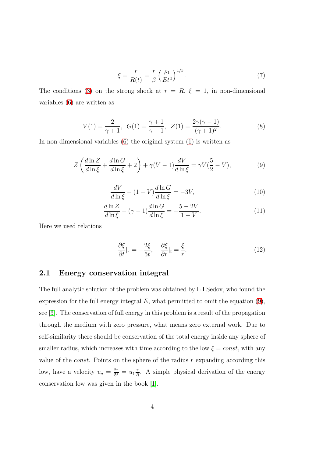<span id="page-3-4"></span>
$$
\xi = \frac{r}{R(t)} = \frac{r}{\beta} \left(\frac{\rho_1}{Et^2}\right)^{1/5}.\tag{7}
$$

The conditions [\(3\)](#page-2-0) on the strong shock at  $r = R$ ,  $\xi = 1$ , in non-dimensional variables [\(6\)](#page-2-1) are written as

<span id="page-3-1"></span>
$$
V(1) = \frac{2}{\gamma + 1}, \ \ G(1) = \frac{\gamma + 1}{\gamma - 1}, \ \ Z(1) = \frac{2\gamma(\gamma - 1)}{(\gamma + 1)^2}.
$$
 (8)

In non-dimensional variables [\(6\)](#page-2-1) the original system [\(1\)](#page-1-1) is written as

<span id="page-3-0"></span>
$$
Z\left(\frac{d\ln Z}{d\ln \xi} + \frac{d\ln G}{d\ln \xi} + 2\right) + \gamma (V - 1) \frac{dV}{d\ln \xi} = \gamma V(\frac{5}{2} - V),\tag{9}
$$

<span id="page-3-2"></span>
$$
\frac{dV}{d\ln\xi} - (1 - V)\frac{d\ln G}{d\ln\xi} = -3V,\tag{10}
$$

<span id="page-3-3"></span>
$$
\frac{d\ln Z}{d\ln \xi} - (\gamma - 1)\frac{d\ln G}{d\ln \xi} = -\frac{5 - 2V}{1 - V}.\tag{11}
$$

Here we used relations

$$
\frac{\partial \xi}{\partial t}|_r = -\frac{2\xi}{5t}, \quad \frac{\partial \xi}{\partial r}|_t = \frac{\xi}{r}.\tag{12}
$$

#### 2.1 Energy conservation integral

The full analytic solution of the problem was obtained by L.I.Sedov, who found the expression for the full energy integral  $E$ , what permitted to omit the equation  $(9)$ , see [\[3\]](#page-15-3). The conservation of full energy in this problem is a result of the propagation through the medium with zero pressure, what means zero external work. Due to self-similarity there should be conservation of the total energy inside any sphere of smaller radius, which increases with time according to the low  $\xi = const$ , with any value of the *const*. Points on the sphere of the radius  $r$  expanding according this low, have a velocity  $v_n = \frac{2r}{5t} = u_1 \frac{r}{h}$  $\frac{r}{R}$ . A simple physical derivation of the energy conservation low was given in the book [\[1\]](#page-15-4).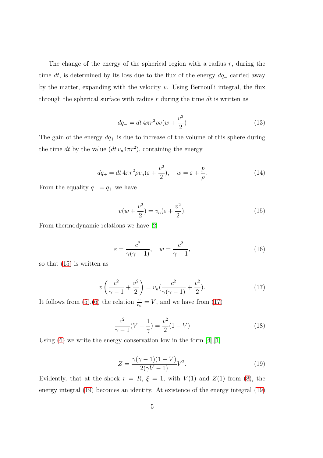The change of the energy of the spherical region with a radius  $r$ , during the time dt, is determined by its loss due to the flux of the energy  $dq_$  carried away by the matter, expanding with the velocity  $v$ . Using Bernoulli integral, the flux through the spherical surface with radius  $r$  during the time dt is written as

$$
dq_{-} = dt \, 4\pi r^2 \rho v(w + \frac{v^2}{2}) \tag{13}
$$

The gain of the energy  $dq_+$  is due to increase of the volume of this sphere during the time dt by the value  $(dt v_n 4\pi r^2)$ , containing the energy

$$
dq_{+} = dt 4\pi r^{2} \rho v_{n} (\varepsilon + \frac{v^{2}}{2}), \quad w = \varepsilon + \frac{p}{\rho}.
$$
 (14)

From the equality  $q_-=q_+$  we have

<span id="page-4-0"></span>
$$
v(w + \frac{v^2}{2}) = v_n(\varepsilon + \frac{v^2}{2}).
$$
\n(15)

From thermodynamic relations we have [\[2\]](#page-15-6)

$$
\varepsilon = \frac{c^2}{\gamma(\gamma - 1)}, \quad w = \frac{c^2}{\gamma - 1},\tag{16}
$$

so that [\(15\)](#page-4-0) is written as

<span id="page-4-1"></span>
$$
v\left(\frac{c^2}{\gamma - 1} + \frac{v^2}{2}\right) = v_n\left(\frac{c^2}{\gamma(\gamma - 1)} + \frac{v^2}{2}\right).
$$
 (17)

It follows from [\(5\)](#page-2-2),[\(6\)](#page-2-1) the relation  $\frac{v}{v_n} = V$ , and we have from [\(17\)](#page-4-1)

$$
\frac{c^2}{\gamma - 1}(V - \frac{1}{\gamma}) = \frac{v^2}{2}(1 - V)
$$
\n(18)

Using  $(6)$  we write the energy conservation low in the form  $[4]$ ,  $[1]$ 

<span id="page-4-2"></span>
$$
Z = \frac{\gamma(\gamma - 1)(1 - V)}{2(\gamma V - 1)}V^2.
$$
 (19)

Evidently, that at the shock  $r = R$ ,  $\xi = 1$ , with  $V(1)$  and  $Z(1)$  from [\(8\)](#page-3-1), the energy integral [\(19\)](#page-4-2) becomes an identity. At existence of the energy integral [\(19\)](#page-4-2)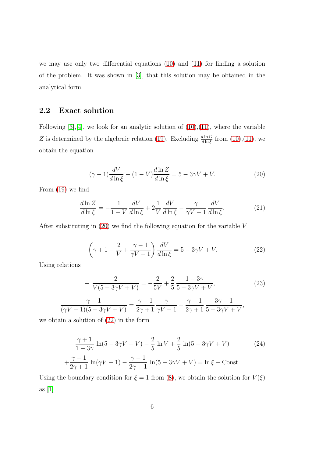we may use only two differential equations [\(10\)](#page-3-2) and [\(11\)](#page-3-3) for finding a solution of the problem. It was shown in [\[3\]](#page-15-3), that this solution may be obtained in the analytical form.

#### 2.2 Exact solution

Following  $[3], [4]$  $[3], [4]$ , we look for an analytic solution of  $(10), (11)$  $(10), (11)$ , where the variable Z is determined by the algebraic relation [\(19\)](#page-4-2). Excluding  $\frac{d\ln G}{d\ln \xi}$  from [\(10\)](#page-3-2),[\(11\)](#page-3-3), we obtain the equation

<span id="page-5-0"></span>
$$
(\gamma - 1)\frac{dV}{d\ln \xi} - (1 - V)\frac{d\ln Z}{d\ln \xi} = 5 - 3\gamma V + V.
$$
 (20)

From [\(19\)](#page-4-2) we find

$$
\frac{d\ln Z}{d\ln \xi} = -\frac{1}{1-V}\frac{dV}{d\ln \xi} + 2\frac{1}{V}\frac{dV}{d\ln \xi} - \frac{\gamma}{\gamma V - 1}\frac{dV}{d\ln \xi}.\tag{21}
$$

After substituting in [\(20\)](#page-5-0) we find the following equation for the variable V

<span id="page-5-1"></span>
$$
\left(\gamma + 1 - \frac{2}{V} + \frac{\gamma - 1}{\gamma V - 1}\right) \frac{dV}{d\ln \xi} = 5 - 3\gamma V + V.
$$
 (22)

Using relations

$$
-\frac{2}{V(5-3\gamma V+V)} = -\frac{2}{5V} + \frac{2}{5} \frac{1-3\gamma}{5-3\gamma V+V},\tag{23}
$$

$$
\frac{\gamma-1}{(\gamma V-1)(5-3\gamma V+V)} = \frac{\gamma-1}{2\gamma+1} \frac{\gamma}{\gamma V-1} + \frac{\gamma-1}{2\gamma+1} \frac{3\gamma-1}{5-3\gamma V+V},\tag{24}
$$

we obtain a solution of [\(22\)](#page-5-1) in the form

$$
\frac{\gamma+1}{1-3\gamma}\ln(5-3\gamma V+V) - \frac{2}{5}\ln V + \frac{2}{5}\ln(5-3\gamma V+V)
$$
(24)  
 
$$
+\frac{\gamma-1}{2\gamma+1}\ln(\gamma V-1) - \frac{\gamma-1}{2\gamma+1}\ln(5-3\gamma V+V) = \ln \xi + \text{Const.}
$$

Using the boundary condition for  $\xi = 1$  from [\(8\)](#page-3-1), we obtain the solution for  $V(\xi)$ as  $[1]$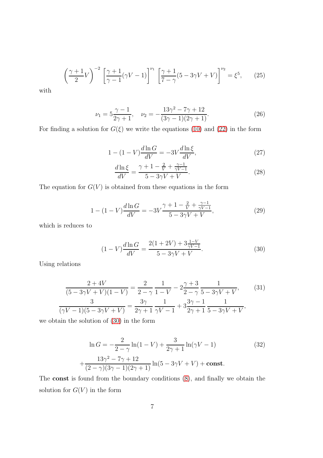$$
\left(\frac{\gamma+1}{2}V\right)^{-2}\left[\frac{\gamma+1}{\gamma-1}(\gamma V-1)\right]^{\nu_1}\left[\frac{\gamma+1}{7-\gamma}(5-3\gamma V+V)\right]^{\nu_2} = \xi^5, \qquad (25)
$$

with

<span id="page-6-1"></span>
$$
\nu_1 = 5\frac{\gamma - 1}{2\gamma + 1}, \quad \nu_2 = -\frac{13\gamma^2 - 7\gamma + 12}{(3\gamma - 1)(2\gamma + 1)}.
$$
\n(26)

For finding a solution for  $G(\xi)$  we write the equations [\(10\)](#page-3-2) and [\(22\)](#page-5-1) in the form

$$
1 - (1 - V)\frac{d\ln G}{dV} = -3V\frac{d\ln \xi}{dV},
$$
\n(27)

$$
\frac{d\ln\xi}{dV} = \frac{\gamma + 1 - \frac{2}{V} + \frac{\gamma - 1}{\gamma V - 1}}{5 - 3\gamma V + V}.\tag{28}
$$

The equation for  $G(V)$  is obtained from these equations in the form

$$
1 - (1 - V)\frac{d\ln G}{dV} = -3V\frac{\gamma + 1 - \frac{2}{V} + \frac{\gamma - 1}{\gamma V - 1}}{5 - 3\gamma V + V},\tag{29}
$$

which is reduces to

<span id="page-6-0"></span>
$$
(1 - V)\frac{d \ln G}{dV} = \frac{2(1 + 2V) + 3\frac{1 - V}{\gamma V - 1}}{5 - 3\gamma V + V}.
$$
\n(30)

Using relations

$$
\frac{2+4V}{(5-3\gamma V+V)(1-V)} = \frac{2}{2-\gamma} \frac{1}{1-V} - 2\frac{\gamma+3}{2-\gamma} \frac{1}{5-3\gamma V+V},\tag{31}
$$
\n
$$
\frac{3}{(\gamma V-1)(5-3\gamma V+V)} = \frac{3\gamma}{2\gamma+1} \frac{1}{\gamma V-1} + 3\frac{3\gamma-1}{2\gamma+1} \frac{1}{5-3\gamma V+V},\tag{32}
$$

we obtain the solution of [\(30\)](#page-6-0) in the form

$$
\ln G = -\frac{2}{2 - \gamma} \ln(1 - V) + \frac{3}{2\gamma + 1} \ln(\gamma V - 1)
$$
(32)  
 
$$
+ \frac{13\gamma^2 - 7\gamma + 12}{(2 - \gamma)(3\gamma - 1)(2\gamma + 1)} \ln(5 - 3\gamma V + V) + \text{const.}
$$

The const is found from the boundary conditions [\(8\)](#page-3-1), and finally we obtain the solution for  $G(V)$  in the form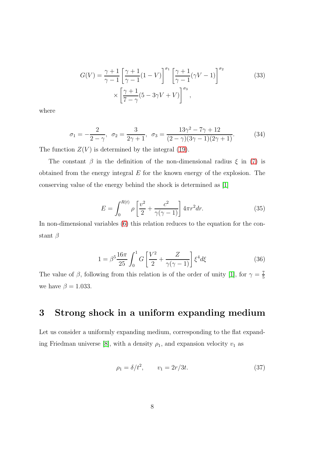$$
G(V) = \frac{\gamma + 1}{\gamma - 1} \left[ \frac{\gamma + 1}{\gamma - 1} (1 - V) \right]^{\sigma_1} \left[ \frac{\gamma + 1}{\gamma - 1} (\gamma V - 1) \right]^{\sigma_2}
$$
  
 
$$
\times \left[ \frac{\gamma + 1}{7 - \gamma} (5 - 3\gamma V + V) \right]^{\sigma_3},
$$
 (33)

where

$$
\sigma_1 = -\frac{2}{2-\gamma}, \quad \sigma_2 = \frac{3}{2\gamma+1}, \quad \sigma_3 = \frac{13\gamma^2 - 7\gamma + 12}{(2-\gamma)(3\gamma - 1)(2\gamma + 1)}.
$$
(34)

The function  $Z(V)$  is determined by the integral [\(19\)](#page-4-2).

The constant  $\beta$  in the definition of the non-dimensional radius  $\xi$  in [\(7\)](#page-3-4) is obtained from the energy integral  $E$  for the known energy of the explosion. The conserving value of the energy behind the shock is determined as [\[1\]](#page-15-4)

$$
E = \int_0^{R(t)} \rho \left[ \frac{v^2}{2} + \frac{c^2}{\gamma(\gamma - 1)} \right] 4\pi r^2 dr.
$$
 (35)

In non-dimensional variables [\(6\)](#page-2-1) this relation reduces to the equation for the constant  $\beta$ 

$$
1 = \beta^5 \frac{16\pi}{25} \int_0^1 G\left[\frac{V^2}{2} + \frac{Z}{\gamma(\gamma - 1)}\right] \xi^4 d\xi \tag{36}
$$

The value of  $\beta$ , following from this relation is of the order of unity [\[1\]](#page-15-4), for  $\gamma = \frac{7}{5}$ 5 we have  $\beta = 1.033$ .

## 3 Strong shock in a uniform expanding medium

Let us consider a uniformly expanding medium, corresponding to the flat expand-ing Friedman universe [\[8\]](#page-16-0), with a density  $\rho_1$ , and expansion velocity  $v_1$  as

<span id="page-7-0"></span>
$$
\rho_1 = \delta / t^2, \qquad v_1 = 2r/3t. \tag{37}
$$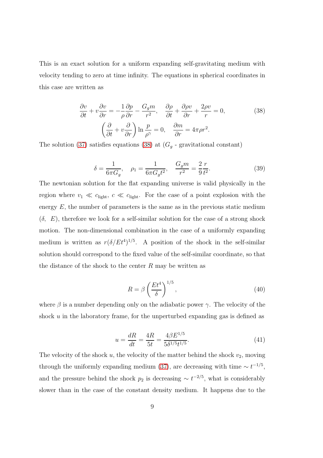This is an exact solution for a uniform expanding self-gravitating medium with velocity tending to zero at time infinity. The equations in spherical coordinates in this case are written as

<span id="page-8-0"></span>
$$
\frac{\partial v}{\partial t} + v \frac{\partial v}{\partial r} = -\frac{1}{\rho} \frac{\partial p}{\partial r} - \frac{G_g m}{r^2}, \quad \frac{\partial \rho}{\partial t} + \frac{\partial \rho v}{\partial r} + \frac{2\rho v}{r} = 0,
$$
\n
$$
\left(\frac{\partial}{\partial t} + v \frac{\partial}{\partial r}\right) \ln \frac{p}{\rho^{\gamma}} = 0, \quad \frac{\partial m}{\partial r} = 4\pi \rho r^2.
$$
\n(38)

The solution [\(37\)](#page-7-0) satisfies equations [\(38\)](#page-8-0) at  $(G_q$  - gravitational constant)

<span id="page-8-1"></span>
$$
\delta = \frac{1}{6\pi G_g}, \quad \rho_1 = \frac{1}{6\pi G_g t^2}, \quad \frac{G_g m}{r^2} = \frac{2}{9} \frac{r}{t^2}.
$$
 (39)

The newtonian solution for the flat expanding universe is valid physically in the region where  $v_1 \ll c_{\text{light}}$ ,  $c \ll c_{\text{light}}$ . For the case of a point explosion with the energy  $E$ , the number of parameters is the same as in the previous static medium  $(\delta, E)$ , therefore we look for a self-similar solution for the case of a strong shock motion. The non-dimensional combination in the case of a uniformly expanding medium is written as  $r(\delta/Et^{4})^{1/5}$ . A position of the shock in the self-similar solution should correspond to the fixed value of the self-similar coordinate, so that the distance of the shock to the center  $R$  may be written as

$$
R = \beta \left(\frac{Et^4}{\delta}\right)^{1/5},\tag{40}
$$

where  $\beta$  is a number depending only on the adiabatic power  $\gamma$ . The velocity of the shock u in the laboratory frame, for the unperturbed expanding gas is defined as

<span id="page-8-2"></span>
$$
u = \frac{dR}{dt} = \frac{4R}{5t} = \frac{4\beta E^{1/5}}{5\delta^{1/5}t^{1/5}}.
$$
\n(41)

The velocity of the shock  $u$ , the velocity of the matter behind the shock  $v_2$ , moving through the uniformly expanding medium [\(37\)](#page-7-0), are decreasing with time  $\sim t^{-1/5}$ , and the pressure behind the shock  $p_2$  is decreasing  $\sim t^{-2/5}$ , what is considerably slower than in the case of the constant density medium. It happens due to the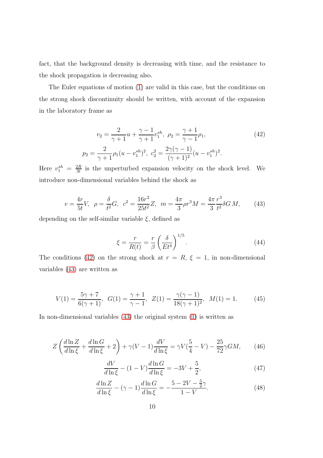fact, that the background density is decreasing with time, and the resistance to the shock propagation is decreasing also.

The Euler equations of motion [\(1\)](#page-1-1) are valid in this case, but the conditions on the strong shock discontinuity should be written, with account of the expansion in the laboratory frame as

<span id="page-9-0"></span>
$$
v_2 = \frac{2}{\gamma + 1} u + \frac{\gamma - 1}{\gamma + 1} v_1^{sh}, \ \rho_2 = \frac{\gamma + 1}{\gamma - 1} \rho_1,
$$
  
\n
$$
p_2 = \frac{2}{\gamma + 1} \rho_1 (u - v_1^{sh})^2, \ c_2^2 = \frac{2\gamma(\gamma - 1)}{(\gamma + 1)^2} (u - v_1^{sh})^2.
$$
\n(42)

Here  $v_1^{sh} = \frac{2R}{3t}$  $\frac{dR}{dt}$  is the unperturbed expansion velocity on the shock level. We introduce non-dimensional variables behind the shock as

<span id="page-9-1"></span>
$$
v = \frac{4r}{5t}V, \ \rho = \frac{\delta}{t^2}G, \ \ c^2 = \frac{16r^2}{25t^2}Z, \ \ m = \frac{4\pi}{3}\rho r^3 M = \frac{4\pi}{3}\frac{r^3}{t^2}\delta G M,\tag{43}
$$

depending on the self-similar variable  $\xi$ , defined as

<span id="page-9-6"></span>
$$
\xi = \frac{r}{R(t)} = \frac{r}{\beta} \left(\frac{\delta}{Et^4}\right)^{1/5}.\tag{44}
$$

The conditions [\(42\)](#page-9-0) on the strong shock at  $r = R$ ,  $\xi = 1$ , in non-dimensional variables [\(43\)](#page-9-1) are written as

<span id="page-9-5"></span>
$$
V(1) = \frac{5\gamma + 7}{6(\gamma + 1)}, \ \ G(1) = \frac{\gamma + 1}{\gamma - 1}, \ \ Z(1) = \frac{\gamma(\gamma - 1)}{18(\gamma + 1)^2}, \ \ M(1) = 1. \tag{45}
$$

In non-dimensional variables [\(43\)](#page-9-1) the original system [\(1\)](#page-1-1) is written as

<span id="page-9-2"></span>
$$
Z\left(\frac{d\ln Z}{d\ln \xi} + \frac{d\ln G}{d\ln \xi} + 2\right) + \gamma (V - 1) \frac{dV}{d\ln \xi} = \gamma V(\frac{5}{4} - V) - \frac{25}{72}\gamma GM,\tag{46}
$$

<span id="page-9-4"></span>
$$
\frac{dV}{d\ln\xi} - (1 - V)\frac{d\ln G}{d\ln\xi} = -3V + \frac{5}{2},\tag{47}
$$

<span id="page-9-3"></span>
$$
\frac{d\ln Z}{d\ln \xi} - (\gamma - 1)\frac{d\ln G}{d\ln \xi} = -\frac{5 - 2V - \frac{5}{2}\gamma}{1 - V}.
$$
\n(48)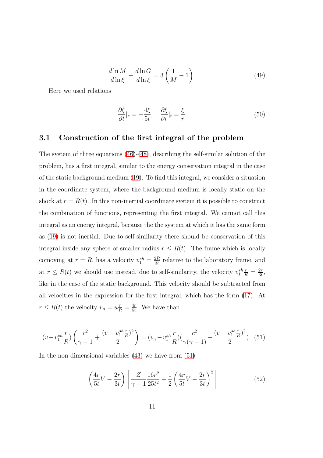$$
\frac{d\ln M}{d\ln \xi} + \frac{d\ln G}{d\ln \xi} = 3\left(\frac{1}{M} - 1\right). \tag{49}
$$

Here we used relations

$$
\frac{\partial \xi}{\partial t}|_r = -\frac{4\xi}{5t}, \quad \frac{\partial \xi}{\partial r}|_t = \frac{\xi}{r}.\tag{50}
$$

#### 3.1 Construction of the first integral of the problem

The system of three equations [\(46\)](#page-9-2)-[\(48\)](#page-9-3), describing the self-similar solution of the problem, has a first integral, similar to the energy conservation integral in the case of the static background medium [\(19\)](#page-4-2). To find this integral, we consider a situation in the coordinate system, where the background medium is locally static on the shock at  $r = R(t)$ . In this non-inertial coordinate system it is possible to construct the combination of functions, representing the first integral. We cannot call this integral as an energy integral, because the the system at which it has the same form as [\(19\)](#page-4-2) is not inertial. Due to self-similarity there should be conservation of this integral inside any sphere of smaller radius  $r \leq R(t)$ . The frame which is locally comoving at  $r = R$ , has a velocity  $v_1^{sh} = \frac{2R}{3t}$  $\frac{dR}{dt}$  relative to the laboratory frame, and at  $r \leq R(t)$  we should use instead, due to self-similarity, the velocity  $v_1^{sh} \frac{r}{R} = \frac{2r}{3t}$  $\frac{2r}{3t}$ , like in the case of the static background. This velocity should be subtracted from all velocities in the expression for the first integral, which has the form [\(17\)](#page-4-1). At  $r \leq R(t)$  the velocity  $v_n = u \frac{r}{R} = \frac{4r}{5t}$  $\frac{4r}{5t}$ . We have than

<span id="page-10-0"></span>
$$
(v - v_1^{sh} \frac{r}{R}) \left(\frac{c^2}{\gamma - 1} + \frac{(v - v_1^{sh} \frac{r}{R})^2}{2}\right) = (v_n - v_1^{sh} \frac{r}{R}) \left(\frac{c^2}{\gamma(\gamma - 1)} + \frac{(v - v_1^{sh} \frac{r}{R})^2}{2}\right).
$$
 (51)

In the non-dimensional variables [\(43\)](#page-9-1) we have from [\(51\)](#page-10-0)

$$
\left(\frac{4r}{5t}V - \frac{2r}{3t}\right) \left[\frac{Z}{\gamma - 1} \frac{16r^2}{25t^2} + \frac{1}{2} \left(\frac{4r}{5t}V - \frac{2r}{3t}\right)^2\right]
$$
(52)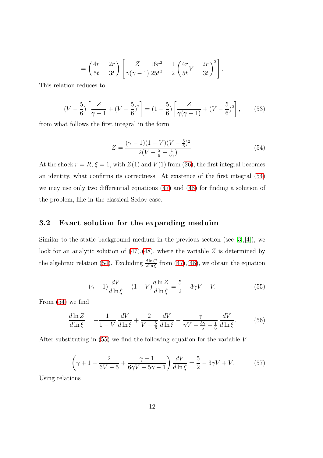$$
= \left(\frac{4r}{5t} - \frac{2r}{3t}\right) \left[ \frac{Z}{\gamma(\gamma - 1)} \frac{16r^2}{25t^2} + \frac{1}{2} \left( \frac{4r}{5t} V - \frac{2r}{3t} \right)^2 \right].
$$

This relation reduces to

$$
(V - \frac{5}{6})\left[\frac{Z}{\gamma - 1} + (V - \frac{5}{6})^2\right] = (1 - \frac{5}{6})\left[\frac{Z}{\gamma(\gamma - 1)} + (V - \frac{5}{6})^2\right],\tag{53}
$$

from what follows the first integral in the form

<span id="page-11-0"></span>
$$
Z = \frac{(\gamma - 1)(1 - V)(V - \frac{5}{6})^2}{2(V - \frac{5}{6} - \frac{1}{6\gamma})}.
$$
\n(54)

At the shock  $r = R$ ,  $\xi = 1$ , with  $Z(1)$  and  $V(1)$  from [\(26\)](#page-6-1), the first integral becomes an identity, what confirms its correctness. At existence of the first integral [\(54\)](#page-11-0) we may use only two differential equations [\(47\)](#page-9-4) and [\(48\)](#page-9-3) for finding a solution of the problem, like in the classical Sedov case.

#### 3.2 Exact solution for the expanding meduim

Similar to the static background medium in the previous section (see [\[3\]](#page-15-3),[\[4\]](#page-15-5)), we look for an analytic solution of  $(47)$ , $(48)$ , where the variable Z is determined by the algebraic relation [\(54\)](#page-11-0). Excluding  $\frac{d \ln G}{d \ln \xi}$  from [\(47\)](#page-9-4), [\(48\)](#page-9-3), we obtain the equation

<span id="page-11-1"></span>
$$
(\gamma - 1)\frac{dV}{d\ln\xi} - (1 - V)\frac{d\ln Z}{d\ln\xi} = \frac{5}{2} - 3\gamma V + V.
$$
 (55)

From [\(54\)](#page-11-0) we find

$$
\frac{d\ln Z}{d\ln \xi} = -\frac{1}{1-V} \frac{dV}{d\ln \xi} + \frac{2}{V - \frac{5}{6}} \frac{dV}{d\ln \xi} - \frac{\gamma}{\gamma V - \frac{5\gamma}{6} - \frac{1}{6}} \frac{dV}{d\ln \xi}.
$$
(56)

After substituting in [\(55\)](#page-11-1) we find the following equation for the variable V

<span id="page-11-2"></span>
$$
\left(\gamma + 1 - \frac{2}{6V - 5} + \frac{\gamma - 1}{6\gamma V - 5\gamma - 1}\right) \frac{dV}{d\ln\xi} = \frac{5}{2} - 3\gamma V + V. \tag{57}
$$

Using relations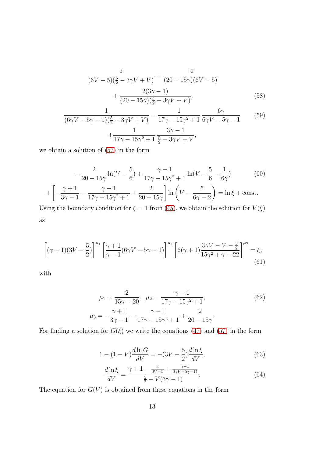$$
\frac{2}{(6V-5)(\frac{5}{2}-3\gamma V+V)} = \frac{12}{(20-15\gamma)(6V-5)} + \frac{2(3\gamma-1)}{(20-15\gamma)(\frac{5}{2}-3\gamma V+V)},
$$
(58)

<span id="page-12-0"></span>
$$
\frac{1}{(6\gamma V - 5\gamma - 1)(\frac{5}{2} - 3\gamma V + V)} = \frac{1}{17\gamma - 15\gamma^2 + 1} \frac{6\gamma}{6\gamma V - 5\gamma - 1} \tag{59}
$$
\n
$$
+\frac{1}{17\gamma - 15\gamma^2 + 1} \frac{3\gamma - 1}{\frac{5}{2} - 3\gamma V + V},
$$

we obtain a solution of [\(57\)](#page-11-2) in the form

$$
-\frac{2}{20-15\gamma}\ln(V-\frac{5}{6}) + \frac{\gamma-1}{17\gamma-15\gamma^2+1}\ln(V-\frac{5}{6}-\frac{1}{6\gamma})\tag{60}
$$
\n
$$
\begin{bmatrix}\gamma+1 & \gamma-1 & 2\\1 & 2 & \gamma-1\end{bmatrix} \ln(V-\frac{5}{6}) + \ln(15+150)
$$

$$
+\left[-\frac{\gamma+1}{3\gamma-1} - \frac{\gamma-1}{17\gamma-15\gamma^2+1} + \frac{2}{20-15\gamma}\right] \ln\left(V - \frac{5}{6\gamma-2}\right) = \ln\xi + \text{const.}
$$
  
Using the boundary condition for  $\xi = 1$  from (45), we obtain the solution for  $V(\xi)$ 

Using the boundary condition for  $\xi = 1$  from [\(45\)](#page-9-5), we obtain the solution for  $V(\xi)$ as

$$
\left[ (\gamma + 1)(3V - \frac{5}{2}) \right]^{\mu_1} \left[ \frac{\gamma + 1}{\gamma - 1} (6\gamma V - 5\gamma - 1) \right]^{\mu_2} \left[ 6(\gamma + 1) \frac{3\gamma V - V - \frac{5}{2}}{15\gamma^2 + \gamma - 22} \right]^{\mu_3} = \xi,
$$
\n(61)

with

$$
\mu_1 = \frac{2}{15\gamma - 20}, \quad \mu_2 = \frac{\gamma - 1}{17\gamma - 15\gamma^2 + 1},\tag{62}
$$
\n
$$
\mu_3 = -\frac{\gamma + 1}{3\gamma - 1} - \frac{\gamma - 1}{17\gamma - 15\gamma^2 + 1} + \frac{2}{20 - 15\gamma}.
$$

For finding a solution for  $G(\xi)$  we write the equations [\(47\)](#page-9-4) and [\(57\)](#page-11-2) in the form

$$
1 - (1 - V)\frac{d\ln G}{dV} = -(3V - \frac{5}{2})\frac{d\ln \xi}{dV},\tag{63}
$$

$$
\frac{d\ln\xi}{dV} = \frac{\gamma + 1 - \frac{2}{6V - 5} + \frac{\gamma - 1}{6\gamma V - 5\gamma - 1}}{\frac{5}{2} - V(3\gamma - 1)}.
$$
\n(64)

The equation for  $G(V)$  is obtained from these equations in the form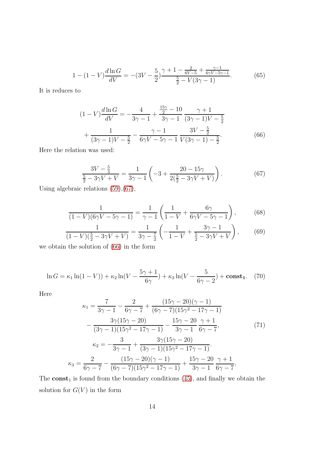$$
1 - (1 - V)\frac{d\ln G}{dV} = -(3V - \frac{5}{2})\frac{\gamma + 1 - \frac{2}{6V - 5} + \frac{\gamma - 1}{6\gamma V - 5\gamma - 1}}{\frac{5}{2} - V(3\gamma - 1)}.
$$
 (65)

It is reduces to

<span id="page-13-1"></span>
$$
(1 - V)\frac{d\ln G}{dV} = -\frac{4}{3\gamma - 1} + \frac{\frac{15\gamma}{2} - 10}{3\gamma - 1} \frac{\gamma + 1}{(3\gamma - 1)V - \frac{5}{2}}
$$

$$
+ \frac{1}{(3\gamma - 1)V - \frac{5}{2}} - \frac{\gamma - 1}{6\gamma V - 5\gamma - 1} \frac{3V - \frac{5}{2}}{V(3\gamma - 1) - \frac{5}{2}}.
$$
(66)

Here the relation was used:

<span id="page-13-0"></span>
$$
\frac{3V - \frac{5}{3}}{\frac{5}{2} - 3\gamma V + V} = \frac{1}{3\gamma - 1} \left( -3 + \frac{20 - 15\gamma}{2(\frac{5}{2} - 3\gamma V + V)} \right). \tag{67}
$$

Using algebraic relations [\(59\)](#page-12-0),[\(67\)](#page-13-0),

$$
\frac{1}{(1-V)(6\gamma V - 5\gamma - 1)} = \frac{1}{\gamma - 1} \left( \frac{1}{1-V} + \frac{6\gamma}{6\gamma V - 5\gamma - 1} \right),\tag{68}
$$

$$
\frac{1}{(1-V)(\frac{5}{2}-3\gamma V+V)} = \frac{1}{3\gamma - \frac{7}{2}} \left( -\frac{1}{1-V} + \frac{3\gamma - 1}{\frac{5}{2} - 3\gamma V + V} \right),\tag{69}
$$

we obtain the solution of [\(66\)](#page-13-1) in the form

$$
\ln G = \kappa_1 \ln(1 - V) + \kappa_2 \ln(V - \frac{5\gamma + 1}{6\gamma}) + \kappa_3 \ln(V - \frac{5}{6\gamma - 2}) + \text{const}_1. \tag{70}
$$

Here

$$
\kappa_1 = \frac{7}{3\gamma - 1} - \frac{2}{6\gamma - 7} + \frac{(15\gamma - 20)(\gamma - 1)}{(6\gamma - 7)(15\gamma^2 - 17\gamma - 1)} \n- \frac{3\gamma(15\gamma - 20)}{(3\gamma - 1)(15\gamma^2 - 17\gamma - 1)} - \frac{15\gamma - 20}{3\gamma - 1} \frac{\gamma + 1}{6\gamma - 7},
$$
\n(71)  
\n
$$
\kappa_2 = -\frac{3}{3\gamma - 1} + \frac{3\gamma(15\gamma - 20)}{(3\gamma - 1)(15\gamma^2 - 17\gamma - 1)}.
$$
\n
$$
\kappa_3 = \frac{2}{6\gamma - 7} - \frac{(15\gamma - 20)(\gamma - 1)}{(6\gamma - 7)(15\gamma^2 - 17\gamma - 1)} + \frac{15\gamma - 20}{3\gamma - 1} \frac{\gamma + 1}{6\gamma - 7},
$$

The  $const_1$  is found from the boundary conditions [\(45\)](#page-9-5), and finally we obtain the solution for  $G(V)$  in the form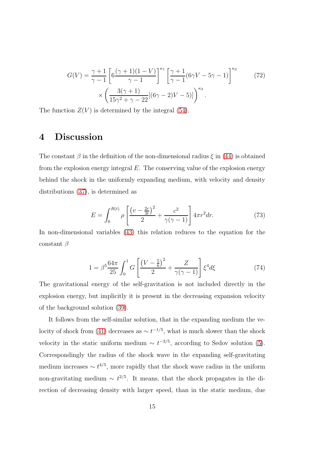$$
G(V) = \frac{\gamma + 1}{\gamma - 1} \left[ 6 \frac{(\gamma + 1)(1 - V)}{\gamma - 1} \right]^{\kappa_1} \left[ \frac{\gamma + 1}{\gamma - 1} (6\gamma V - 5\gamma - 1) \right]^{\kappa_2} \times \left( \frac{3(\gamma + 1)}{15\gamma^2 + \gamma - 22} [(6\gamma - 2)V - 5)] \right)^{\kappa_3} .
$$
 (72)

The function  $Z(V)$  is determined by the integral [\(54\)](#page-11-0).

### 4 Discussion

The constant  $\beta$  in the definition of the non-dimensional radius  $\xi$  in [\(44\)](#page-9-6) is obtained from the explosion energy integral  $E$ . The conserving value of the explosion energy behind the shock in the uniformly expanding medium, with velocity and density distributions [\(37\)](#page-7-0), is determined as

$$
E = \int_0^{R(t)} \rho \left[ \frac{\left(v - \frac{2r}{3t}\right)^2}{2} + \frac{c^2}{\gamma(\gamma - 1)} \right] 4\pi r^2 dr. \tag{73}
$$

In non-dimensional variables [\(43\)](#page-9-1) this relation reduces to the equation for the constant  $\beta$ 

$$
1 = \beta^5 \frac{64\pi}{25} \int_0^1 G \left[ \frac{\left(V - \frac{5}{6}\right)^2}{2} + \frac{Z}{\gamma(\gamma - 1)} \right] \xi^4 d\xi \tag{74}
$$

The gravitational energy of the self-gravitation is not included directly in the explosion energy, but implicitly it is present in the decreasing expansion velocity of the background solution [\(39\)](#page-8-1).

It follows from the self-similar solution, that in the expanding medium the ve-locity of shock from [\(41\)](#page-8-2) decreases as  $\sim t^{-1/5}$ , what is much slower than the shock velocity in the static uniform medium  $\sim t^{-3/5}$ , according to Sedov solution [\(5\)](#page-2-2). Correspondingly the radius of the shock wave in the expanding self-gravitating medium increases  $\sim t^{4/5}$ , more rapidly that the shock wave radius in the uniform non-gravitating medium  $\sim t^{2/5}$ . It means, that the shock propagates in the direction of decreasing density with larger speed, than in the static medium, due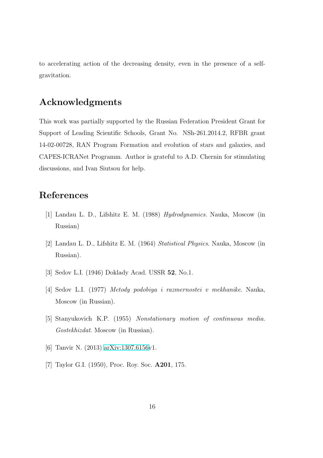to accelerating action of the decreasing density, even in the presence of a selfgravitation.

## Acknowledgments

This work was partially supported by the Russian Federation President Grant for Support of Leading Scientific Schools, Grant No. NSh-261.2014.2, RFBR grant 14-02-00728, RAN Program Formation and evolution of stars and galaxies, and CAPES-ICRANet Programm. Author is grateful to A.D. Chernin for stimulating discussions, and Ivan Siutsou for help.

## <span id="page-15-4"></span>References

- <span id="page-15-6"></span>[1] Landau L. D., Lifshitz E. M. (1988) *Hydrodynamics*. Nauka, Moscow (in Russian)
- <span id="page-15-3"></span>[2] Landau L. D., Lifshitz E. M. (1964) *Statistical Physics*. Nauka, Moscow (in Russian).
- <span id="page-15-5"></span>[3] Sedov L.I. (1946) Doklady Acad. USSR 52, No.1.
- <span id="page-15-1"></span>[4] Sedov L.I. (1977) *Metody podobiya i razmernostei v mekhanike*. Nauka, Moscow (in Russian).
- <span id="page-15-0"></span>[5] Stanyukovich K.P. (1955) *Nonstationary motion of continuous media. Gostekhizdat*. Moscow (in Russian).
- <span id="page-15-2"></span>[6] Tanvir N. (2013) [arXiv:1307.6156v](http://arxiv.org/abs/1307.6156)1.
- [7] Taylor G.I. (1950), Proc. Roy. Soc. A201, 175.